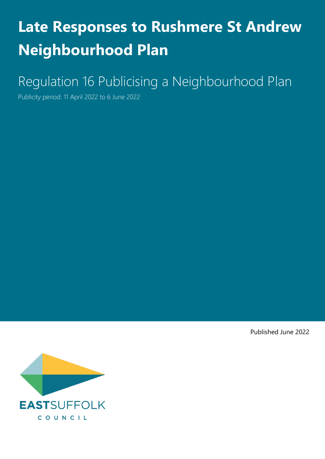# **Late Responses to Rushmere St Andrew Neighbourhood Plan**

# Regulation 16 Publicising a Neighbourhood Plan

Publicity period: 11 April 2022 to 6 June 2022

Published June 2022

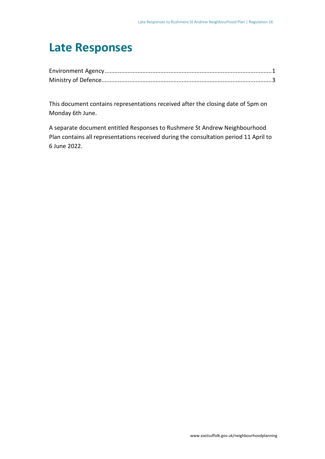## **Late Responses**

This document contains representations received after the closing date of 5pm on Monday 6th June.

A separate document entitled Responses to Rushmere St Andrew Neighbourhood Plan contains all representations received during the consultation period 11 April to 6 June 2022.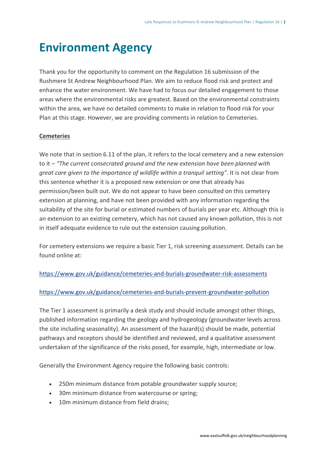## <span id="page-2-0"></span>**Environment Agency**

Thank you for the opportunity to comment on the Regulation 16 submission of the Rushmere St Andrew Neighbourhood Plan. We aim to reduce flood risk and protect and enhance the water environment. We have had to focus our detailed engagement to those areas where the environmental risks are greatest. Based on the environmental constraints within the area, we have no detailed comments to make in relation to flood risk for your Plan at this stage. However, we are providing comments in relation to Cemeteries.

#### **Cemeteries**

We note that in section 6.11 of the plan, it refers to the local cemetery and a new extension to it – *"The current consecrated ground and the new extension have been planned with great care given to the importance of wildlife within a tranquil setting"*. It is not clear from this sentence whether it is a proposed new extension or one that already has permission/been built out. We do not appear to have been consulted on this cemetery extension at planning, and have not been provided with any information regarding the suitability of the site for burial or estimated numbers of burials per year etc. Although this is an extension to an existing cemetery, which has not caused any known pollution, this is not in itself adequate evidence to rule out the extension causing pollution.

For cemetery extensions we require a basic Tier 1, risk screening assessment. Details can be found online at:

#### <https://www.gov.uk/guidance/cemeteries-and-burials-groundwater-risk-assessments>

#### <https://www.gov.uk/guidance/cemeteries-and-burials-prevent-groundwater-pollution>

The Tier 1 assessment is primarily a desk study and should include amongst other things, published information regarding the geology and hydrogeology (groundwater levels across the site including seasonality). An assessment of the hazard(s) should be made, potential pathways and receptors should be identified and reviewed, and a qualitative assessment undertaken of the significance of the risks posed, for example, high, intermediate or low.

Generally the Environment Agency require the following basic controls:

- 250m minimum distance from potable groundwater supply source;
- 30m minimum distance from watercourse or spring;
- 10m minimum distance from field drains;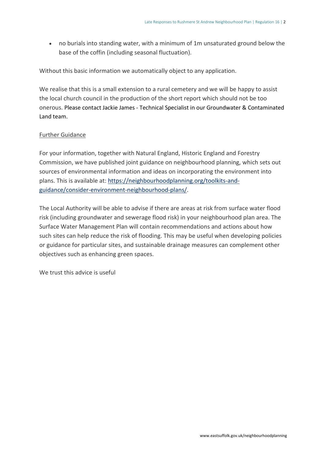• no burials into standing water, with a minimum of 1m unsaturated ground below the base of the coffin (including seasonal fluctuation).

Without this basic information we automatically object to any application.

We realise that this is a small extension to a rural cemetery and we will be happy to assist the local church council in the production of the short report which should not be too onerous. Please contact Jackie James - Technical Specialist in our Groundwater & Contaminated Land team.

#### Further Guidance

For your information, together with Natural England, Historic England and Forestry Commission, we have published joint guidance on neighbourhood planning, which sets out sources of environmental information and ideas on incorporating the environment into plans. This is available at: [https://neighbourhoodplanning.org/toolkits-and](https://neighbourhoodplanning.org/toolkits-and-guidance/consider-environment-neighbourhood-plans/)[guidance/consider-environment-neighbourhood-plans/.](https://neighbourhoodplanning.org/toolkits-and-guidance/consider-environment-neighbourhood-plans/)

The Local Authority will be able to advise if there are areas at risk from surface water flood risk (including groundwater and sewerage flood risk) in your neighbourhood plan area. The Surface Water Management Plan will contain recommendations and actions about how such sites can help reduce the risk of flooding. This may be useful when developing policies or guidance for particular sites, and sustainable drainage measures can complement other objectives such as enhancing green spaces.

We trust this advice is useful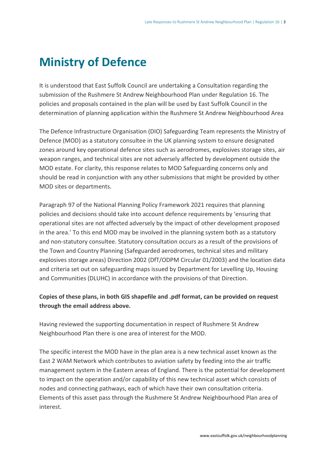# <span id="page-4-0"></span>**Ministry of Defence**

It is understood that East Suffolk Council are undertaking a Consultation regarding the submission of the Rushmere St Andrew Neighbourhood Plan under Regulation 16. The policies and proposals contained in the plan will be used by East Suffolk Council in the determination of planning application within the Rushmere St Andrew Neighbourhood Area

The Defence Infrastructure Organisation (DIO) Safeguarding Team represents the Ministry of Defence (MOD) as a statutory consultee in the UK planning system to ensure designated zones around key operational defence sites such as aerodromes, explosives storage sites, air weapon ranges, and technical sites are not adversely affected by development outside the MOD estate. For clarity, this response relates to MOD Safeguarding concerns only and should be read in conjunction with any other submissions that might be provided by other MOD sites or departments.

Paragraph 97 of the National Planning Policy Framework 2021 requires that planning policies and decisions should take into account defence requirements by 'ensuring that operational sites are not affected adversely by the impact of other development proposed in the area.' To this end MOD may be involved in the planning system both as a statutory and non-statutory consultee. Statutory consultation occurs as a result of the provisions of the Town and Country Planning (Safeguarded aerodromes, technical sites and military explosives storage areas) Direction 2002 (DfT/ODPM Circular 01/2003) and the location data and criteria set out on safeguarding maps issued by Department for Levelling Up, Housing and Communities (DLUHC) in accordance with the provisions of that Direction.

#### **Copies of these plans, in both GIS shapefile and .pdf format, can be provided on request through the email address above.**

Having reviewed the supporting documentation in respect of Rushmere St Andrew Neighbourhood Plan there is one area of interest for the MOD.

The specific interest the MOD have in the plan area is a new technical asset known as the East 2 WAM Network which contributes to aviation safety by feeding into the air traffic management system in the Eastern areas of England. There is the potential for development to impact on the operation and/or capability of this new technical asset which consists of nodes and connecting pathways, each of which have their own consultation criteria. Elements of this asset pass through the Rushmere St Andrew Neighbourhood Plan area of interest.